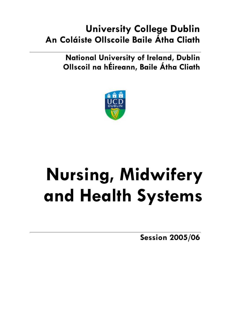# **University College Dublin An Coláiste Ollscoile Baile Átha Cliath**

**National University of Ireland, Dublin Ollscoil na hÉireann, Baile Átha Cliath** 



# **Nursing, Midwifery and Health Systems**

**Session 2005/06**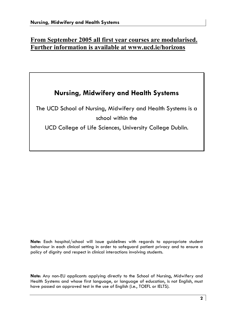# **From September 2005 all first year courses are modularised. Further information is available at www.ucd.ie/horizons**

# **Nursing, Midwifery and Health Systems**

The UCD School of Nursing, Midwifery and Health Systems is a school within the

UCD College of Life Sciences, University College Dublin.

**Note**: Each hospital/school will issue guidelines with regards to appropriate student behaviour in each clinical setting in order to safeguard patient privacy and to ensure a policy of dignity and respect in clinical interactions involving students.

**Note**: Any non-EU applicants applying directly to the School of Nursing, Midwifery and Health Systems and whose first language, or language of education, is not English, must have passed an approved test in the use of English (i.e., TOEFL or IELTS).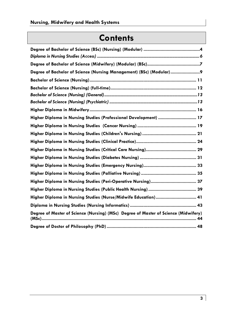# **Contents**

| Degree of Bachelor of Science (Nursing Management) (BSc) (Modular) 9                |
|-------------------------------------------------------------------------------------|
|                                                                                     |
|                                                                                     |
|                                                                                     |
|                                                                                     |
|                                                                                     |
| Higher Diploma in Nursing Studies (Professional Development)  17                    |
|                                                                                     |
|                                                                                     |
|                                                                                     |
|                                                                                     |
|                                                                                     |
|                                                                                     |
|                                                                                     |
|                                                                                     |
|                                                                                     |
| Higher Diploma in Nursing Studies (Nurse/Midwife Education) 41                      |
|                                                                                     |
| Degree of Master of Science (Nursing) (MSc) Degree of Master of Science (Midwifery) |
|                                                                                     |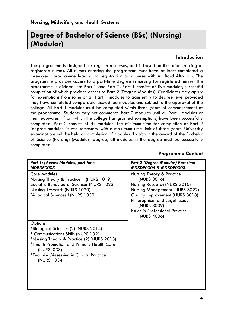# **Degree of Bachelor of Science (BSc) (Nursing) (Modular)**

#### **Introduction**

The programme is designed for registered nurses, and is based on the prior learning of registered nurses. All nurses entering the programme must have at least completed a three-year programme leading to registration as a nurse with An Bord Altranais. The programme provides access to a part-time degree in nursing for registered nurses. The programme is divided into Part 1 and Part 2. Part 1 consists of five modules, successful completion of which provides access to Part 2 (Degree Modules). Candidates may apply for exemptions from some or all Part 1 modules to gain entry to degree level provided they have completed comparable accredited modules and subject to the approval of the college. All Part 1 modules must be completed within three years of commencement of the programme. Students may not commence Part 2 modules until all Part l modules or their equivalent (from which the college has granted exemptions) have been successfully completed. Part 2 consists of six modules. The minimum time for completion of Part 2 (degree modules) is two semesters, with a maximum time limit of three years. University examinations will be held on completion of modules. To obtain the award of the Bachelor of Science (Nursing) (Modular) degree, all modules in the degree must be successfully completed.

| Part 1: (Access Modules) part-time<br>MDBDP0003                                                                                                                                                                                                                    | Part 2 (Degree Modules) Part-time<br>MDBDP0005 & MDBDP0008                                                                                                                                                                                              |
|--------------------------------------------------------------------------------------------------------------------------------------------------------------------------------------------------------------------------------------------------------------------|---------------------------------------------------------------------------------------------------------------------------------------------------------------------------------------------------------------------------------------------------------|
| Core Modules<br>Nursing Theory & Practice 1 (NURS 1019)<br>Social & Behavioural Sciences (NURS 1022)<br>Nursing Research (NURS 1020)<br><b>Biological Sciences I (NURS 1030)</b>                                                                                   | Nursing Theory & Practice<br>(NURS 3016)<br>Nursing Research (NURS 3010)<br>Nursing Management (NURS 3022)<br>Quality Improvement (NURS 3018)<br>Philosophical and Legal Issues<br>(NURS 3009)<br><b>Issues in Professional Practice</b><br>(NURS 4006) |
| <b>Options</b><br>*Biological Sciences (2) (NURS 2014)<br>* Communications Skills (NURS 1021)<br>*Nursing Theory & Practice (2) (NURS 2013)<br>*Health Promotion and Primary Health Care<br>(NURS 1033)<br>*Teaching/Assessing in Clinical Practice<br>(NURS 1034) |                                                                                                                                                                                                                                                         |

#### **Programme Content**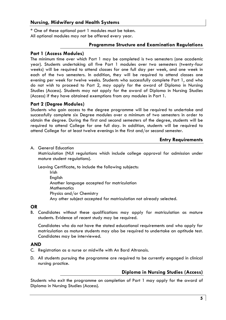\* One of these optional part 1 modules must be taken. All optional modules may not be offered every year.

#### **Programme Structure and Examination Regulations**

#### **Part 1 (Access Modules)**

The minimum time over which Part 1 may be completed is two semesters (one academic year). Students undertaking all five Part 1 modules over two semesters (twenty-four weeks) will be required to attend classes for one full day per week, and one week in each of the two semesters. In addition, they will be required to attend classes one evening per week for twelve weeks. Students who successfully complete Part 1, and who do not wish to proceed to Part 2, may apply for the award of Diploma in Nursing Studies (Access). Students may not apply for the award of Diploma in Nursing Studies (Access) if they have obtained exemptions from any modules in Part 1.

# **Part 2 (Degree Modules)**

Students who gain access to the degree programme will be required to undertake and successfully complete six Degree modules over a minimum of two semesters in order to obtain the degree. During the first and second semesters of the degree, students will be required to attend College for one full day. In addition, students will be required to attend College for at least twelve evenings in the first and/or second semester.

#### **Entry Requirements**

#### A. General Education

 Matriculation (NUI regulations which include college approval for admission under mature student regulations).

Leaving Certificate, to include the following subjects:

Irish English Another language accepted for matriculation **Mathematics** Physics and/or Chemistry Any other subject accepted for matriculation not already selected.

# **OR**

B. Candidates without these qualifications may apply for matriculation as mature students. Evidence of recent study may be required.

 Candidates who do not have the stated educational requirements and who apply for matriculation as mature students may also be required to undertake an aptitude test. Candidates may be interviewed.

# **AND**

- C. Registration as a nurse or midwife with An Bord Altranais.
- D. All students pursuing the programme are required to be currently engaged in clinical nursing practice.

# **Diploma in Nursing Studies (Access)**

Students who exit the programme on completion of Part 1 may apply for the award of Diploma in Nursing Studies (Access).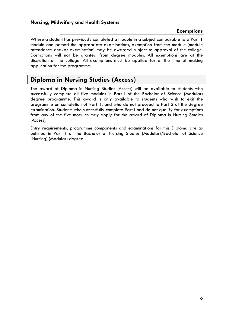#### **Exemptions**

Where a student has previously completed a module in a subject comparable to a Part 1 module and passed the appropriate examinations, exemption from the module (module attendance and/or examination) may be awarded subject to approval of the college. Exemptions will not be granted from degree modules. All exemptions are at the discretion of the college. All exemptions must be applied for at the time of making application for the programme.

# **Diploma in Nursing Studies (Access)**

The award of Diploma in Nursing Studies (Access) will be available to students who successfully complete all five modules in Part l of the Bachelor of Science (Modular) degree programme. This award is only available to students who wish to exit the programme on completion of Part 1, and who do not proceed to Part 2 of the degree examination. Students who successfully complete Part l and do not qualify for exemptions from any of the five modules may apply for the award of Diploma in Nursing Studies (Access).

Entry requirements, programme components and examinations for this Diploma are as outlined in Part 1 of the Bachelor of Nursing Studies (Modular)/Bachelor of Science (Nursing) (Modular) degree.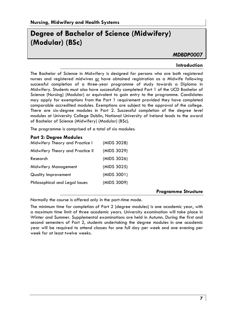# **Degree of Bachelor of Science (Midwifery) (Modular) (BSc)**

# *MDBDP0007*

#### **Introduction**

The Bachelor of Science in Midwifery is designed for persons who are both registered nurses and registered midwives or have obtained registration as a Midwife following successful completion of a three-year programme of study towards a Diploma in Midwifery. Students must also have successfully completed Part 1 of the UCD Bachelor of Science (Nursing) (Modular) or equivalent to gain entry to the programme. Candidates may apply for exemptions from the Part 1 requirement provided they have completed comparable accredited modules. Exemptions are subject to the approval of the college. There are six-degree modules in Part 2. Successful completion of the degree level modules at University College Dublin, National University of Ireland leads to the award of Bachelor of Science (Midwifery) (Modular) (BSc).

The programme is comprised of a total of six modules:

#### **Part 2: Degree Modules**

| Midwifery Theory and Practice I  | (MIDS 3028) |
|----------------------------------|-------------|
| Midwifery Theory and Practice II | (MIDS 3029) |
| Research                         | (MIDS 3026) |
| Midwifery Management             | (MIDS 3025) |
| Quality Improvement              | (MIDS 3001) |
| Philosophical and Legal Issues   | (MIDS 3009) |
|                                  |             |

#### **Programme Structure**

Normally the course is offered only in the part-time mode.

The minimum time for completion of Part 2 (degree modules) is one academic year, with a maximum time limit of three academic years. University examination will take place in Winter and Summer. Supplemental examinations are held in Autumn. During the first and second semesters of Part 2, students undertaking the degree modules in one academic year will be required to attend classes for one full day per week and one evening per week for at least twelve weeks.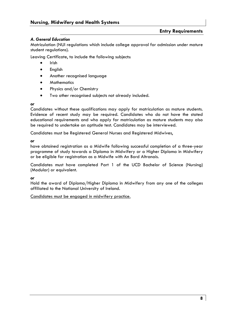#### *A. General Education*

Matriculation (NUI regulations which include college approval for admission under mature student regulations).

Leaving Certificate, to include the following subjects:

- Irish
- **English**
- Another recognised language
- **Mathematics**
- Physics and/or Chemistry
- Two other recognised subjects not already included.

#### *or*

Candidates without these qualifications may apply for matriculation as mature students. Evidence of recent study may be required. Candidates who do not have the stated educational requirements and who apply for matriculation as mature students may also be required to undertake an aptitude test. Candidates may be interviewed.

Candidates must be Registered General Nurses and Registered Midwives,

#### *or*

have obtained registration as a Midwife following successful completion of a three-year programme of study towards a Diploma in Midwifery or a Higher Diploma in Midwifery or be eligible for registration as a Midwife with An Bord Altranais.

Candidates must have completed Part 1 of the UCD Bachelor of Science (Nursing) (Modular) or equivalent.

*or* 

Hold the award of Diploma/Higher Diploma in Midwifery from any one of the colleges affiliated to the National University of Ireland.

#### Candidates must be engaged in midwifery practice.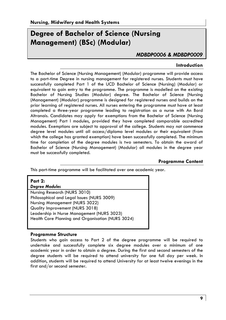# **Degree of Bachelor of Science (Nursing Management) (BSc) (Modular)**

# *MDBDP0006 & MDBDP0009*

#### **Introduction**

The Bachelor of Science (Nursing Management) (Modular) programme will provide access to a part-time Degree in nursing management for registered nurses. Students must have successfully completed Part 1 of the UCD Bachelor of Science (Nursing) (Modular) or equivalent to gain entry to the programme. The programme is modelled on the existing Bachelor of Nursing Studies (Modular) degree. The Bachelor of Science (Nursing (Management) (Modular) programme is designed for registered nurses and builds on the prior learning of registered nurses. All nurses entering the programme must have at least completed a three-year programme leading to registration as a nurse with An Bord Altranais. Candidates may apply for exemptions from the Bachelor of Science (Nursing Management) Part l modules, provided they have completed comparable accredited modules. Exemptions are subject to approval of the college. Students may not commence degree level modules until all access/diploma level modules or their equivalent (from which the college has granted exemption) have been successfully completed. The minimum time for completion of the degree modules is two semesters. To obtain the award of Bachelor of Science (Nursing Management) (Modular) all modules in the degree year must be successfully completed.

# **Programme Content**

This part-time programme will be facilitated over one academic year.

| <b>Part 2:</b>                                    |
|---------------------------------------------------|
| <b>Degree Modules</b>                             |
| Nursing Research (NURS 3010)                      |
| Philosophical and Legal Issues (NURS 3009)        |
| Nursing Management (NURS 3022)                    |
| Quality Improvement (NURS 3018)                   |
| Leadership in Nurse Management (NURS 3023)        |
| Health Care Planning and Organisation (NURS 3024) |

#### **Programme Structure**

Students who gain access to Part 2 of the degree programme will be required to undertake and successfully complete six degree modules over a minimum of one academic year in order to obtain a degree. During the first and second semesters of the degree students will be required to attend university for one full day per week. In addition, students will be required to attend University for at least twelve evenings in the first and/or second semester.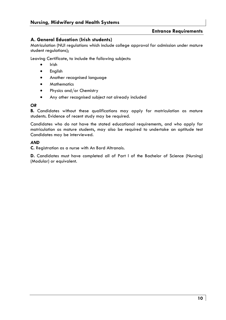# **A. General Education (Irish students)**

Matriculation (NUI regulations which include college approval for admission under mature student regulations);

Leaving Certificate, to include the following subjects:

- Irish
- English
- Another recognised language
- Mathematics
- Physics and/or Chemistry
- Any other recognised subject not already included

#### *OR*

**B.** Candidates without these qualifications may apply for matriculation as mature students. Evidence of recent study may be required.

Candidates who do not have the stated educational requirements, and who apply for matriculation as mature students, may also be required to undertake an aptitude test Candidates may be interviewed.

#### *AND*

**C.** Registration as a nurse with An Bord Altranais.

**D.** Candidates must have completed all of Part l of the Bachelor of Science (Nursing) (Modular) or equivalent.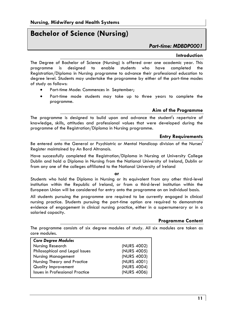# **Bachelor of Science (Nursing)**

# *Part-time: MDBDP0001*

#### **Introduction**

The Degree of Bachelor of Science (Nursing) is offered over one academic year. This programme is designed to enable students who have completed the Registration/Diploma in Nursing programme to advance their professional education to degree level. Students may undertake the programme by either of the part-time modes of study as follows:

- Part-time Mode: Commences in September;
- Part-time mode students may take up to three years to complete the programme.

# **Aim of the Programme**

The programme is designed to build upon and advance the student's repertoire of knowledge, skills, attitudes and professional values that were developed during the programme of the Registration/Diploma in Nursing programme.

# **Entry Requirements**

Be entered onto the General or Psychiatric or Mental Handicap division of the Nurses' Register maintained by An Bord Altranais.

Have successfully completed the Registration/Diploma in Nursing at University College Dublin and hold a Diploma in Nursing from the National University of Ireland, Dublin or from any one of the colleges affiliated to the National University of Ireland

#### **or**

Students who hold the Diploma in Nursing or its equivalent from any other third-level institution within the Republic of Ireland, or from a third-level institution within the European Union will be considered for entry onto the programme on an individual basis.

All students pursuing the programme are required to be currently engaged in clinical nursing practice. Students pursuing the part-time option are required to demonstrate evidence of engagement in clinical nursing practice, either in a supernumerary or in a salaried capacity.

#### **Programme Content**

The programme consists of six degree modules of study. All six modules are taken as core modules.

| <b>Core Degree Modules</b>             |             |
|----------------------------------------|-------------|
| Nursing Research                       | (NURS 4002) |
| Philosophical and Legal Issues         | (NURS 4005) |
| <b>Nursing Management</b>              | (NURS 4003) |
| Nursing Theory and Practice            | (NURS 4001) |
| <b>Quality Improvement</b>             | (NURS 4004) |
| <b>Issues in Professional Practice</b> | (NURS 4006) |
|                                        |             |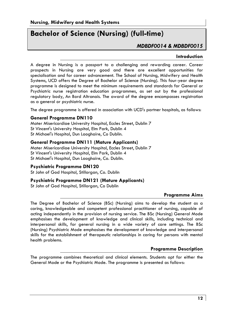# **Bachelor of Science (Nursing) (full-time)**

# *MDBDF0014 & MDBDF0015*

#### **Introduction**

A degree in Nursing is a passport to a challenging and rewarding career. Career prospects in Nursing are very good and there are excellent opportunities for specialisation and for career advancement. The School of Nursing, Midwifery and Health Systems, UCD offers the Degree of Bachelor of Science (Nursing). This four-year degree programme is designed to meet the minimum requirements and standards for General or Psychiatric nurse registration education programmes, as set out by the professional regulatory body, An Bord Altranais. The award of the degree encompasses registration as a general or psychiatric nurse.

The degree programme is offered in association with UCD's partner hospitals, as follows:

# **General Programme DN110**

Mater Misericordiae University Hospital, Eccles Street, Dublin 7 St Vincent's University Hospital, Elm Park, Dublin 4 St Michael's Hospital, Dun Laoghaire, Co Dublin.

#### **General Programme DN111 (Mature Applicants)**

Mater Misericordiae University Hospital, Eccles Street, Dublin 7 St Vincent's University Hospital, Elm Park, Dublin 4 St Michael's Hospital, Dun Laoghaire, Co. Dublin.

#### **Psychiatric Programme DN120**

St John of God Hospital, Stillorgan, Co. Dublin

#### **Psychiatric Programme DN121 (Mature Applicants)**

St John of God Hospital, Stillorgan, Co Dublin

#### **Programme Aims**

The Degree of Bachelor of Science (BSc) (Nursing) aims to develop the student as a caring, knowledgeable and competent professional practitioner of nursing, capable of acting independently in the provision of nursing service. The BSc (Nursing) General Mode emphasises the development of knowledge and clinical skills, including technical and interpersonal skills, for general nursing in a wide variety of care settings. The BSc (Nursing) Psychiatric Mode emphasises the development of knowledge and interpersonal skills for the establishment of therapeutic relationships in caring for persons with mental health problems.

# **Programme Description**

The programme combines theoretical and clinical elements. Students opt for either the General Mode or the Psychiatric Mode. The programme is presented as follows: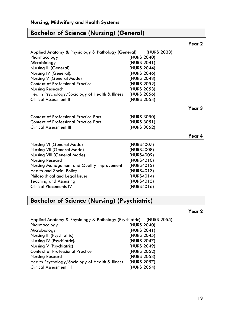# **Bachelor of Science (Nursing) (General)**

| Applied Anatomy & Physiology & Pathology (General) | (NURS 2038) |        |
|----------------------------------------------------|-------------|--------|
| Pharmacology                                       | (NURS 2040) |        |
| Microbiology                                       | (NURS 2041) |        |
| Nursing III (General)                              | (NURS 2044) |        |
| Nursing IV (General).                              | (NURS 2046) |        |
| Nursing V (General Mode)                           | (NURS 2048) |        |
| <b>Context of Professional Practice</b>            | (NURS 2052) |        |
| Nursing Research                                   | (NURS 2053) |        |
| Health Psychology/Sociology of Health & Illness    | (NURS 2056) |        |
| Clinical Assessment II                             | (NURS 2054) |        |
|                                                    |             | Year 3 |
| Context of Professional Practice Part I            | (NURS 3050) |        |
| Context of Professional Practice Part II           | (NURS 3051) |        |
| Clinical Assessment III                            | (NURS 3052) |        |
|                                                    |             | Year 4 |
| Nursing VI (General Mode)                          | (NURS4007)  |        |
| Nursing VII (General Mode)                         | (NURS4008)  |        |
| Nursing VIII (General Mode)                        | (NURS4009)  |        |
| Nursing Research                                   | (NURS4010)  |        |
| Nursing Management and Quality Improvement         | (NURS4012)  |        |
| Health and Social Policy                           | (NURS4013)  |        |
| Philosophical and Legal Issues                     | (NURS4014)  |        |
| <b>Teaching and Assessing</b>                      | (NURS4015)  |        |
| <b>Clinical Placements IV</b>                      | (NURS4016)  |        |

# **Bachelor of Science (Nursing) (Psychiatric)**

# **Year 2**

| Applied Anatomy & Physiology & Pathology (Psychiatric) (NURS 2055) |             |  |
|--------------------------------------------------------------------|-------------|--|
| Pharmacology                                                       | (NURS 2040) |  |
| Microbiology                                                       | (NURS 2041) |  |
| Nursing III (Psychiatric)                                          | (NURS 2045) |  |
| Nursing IV (Psychiatric).                                          | (NURS 2047) |  |
| Nursing V (Psychiatric)                                            | (NURS 2049) |  |
| <b>Context of Professional Practice</b>                            | (NURS 2052) |  |
| Nursing Research                                                   | (NURS 2053) |  |
| Health Psychology/Sociology of Health & Illness                    | (NURS 2057) |  |
| Clinical Assessment 11                                             | (NURS 2054) |  |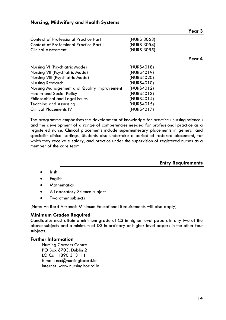| Context of Professional Practice Part I         | (NURS 3053) |
|-------------------------------------------------|-------------|
| <b>Context of Professional Practice Part II</b> | (NURS 3054) |
| <b>Clinical Assessment</b>                      | (NURS 3055) |

|                                            | ,, ,,,,,, ,,,,,,, |        |
|--------------------------------------------|-------------------|--------|
|                                            |                   | Year 4 |
| Nursing VI (Psychiatric Mode)              | (NURS4018)        |        |
| Nursing VII (Psychiatric Mode)             | (NURS4019)        |        |
| Nursing VIII (Psychiatric Mode)            | (NURS4020)        |        |
| Nursing Research                           | (NURS4010)        |        |
| Nursing Management and Quality Improvement | (NURS4012)        |        |
| Health and Social Policy                   | (NURS4013)        |        |
| Philosophical and Legal Issues             | (NURS4014)        |        |
| Teaching and Assessing                     | (NURS4015)        |        |
| <b>Clinical Placements IV</b>              | (NURS4017)        |        |

The programme emphasises the development of knowledge for practice ('nursing science') and the development of a range of competencies needed for professional practice as a registered nurse. Clinical placements include supernumerary placements in general and specialist clinical settings. Students also undertake a period of rostered placement, for which they receive a salary, and practice under the supervision of registered nurses as a member of the care team.

**Entry Requirements** 

**Year 3** 

- Irish
- **English**
- **Mathematics**
- A Laboratory Science subject
- Two other subjects

(Note: An Bord Altranais Minimum Educational Requirements will also apply)

# **Minimum Grades Required**

Candidates must attain a minimum grade of C3 in higher level papers in any two of the above subjects and a minimum of D3 in ordinary or higher level papers in the other four subjects.

# **Further Information**

Nursing Careers Centre PO Box 6703, Dublin 2 LO Call 1890 313111 E-mail: ncc@nursingboard.ie Internet: www.nursingboard.ie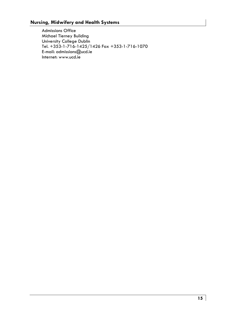Admissions Office Michael Tierney Building University College Dublin Tel. +353-1-716-1425/1426 Fax +353-1-716-1070 E-mail: admissions@ucd.ie Internet: www.ucd.ie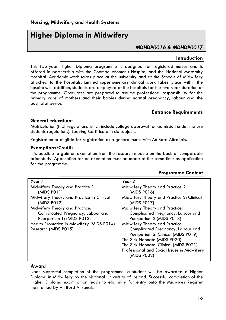# **Higher Diploma in Midwifery**

# *MDHDP0016 & MDHDP0017*

#### **Introduction**

This two-year Higher Diploma programme is designed for registered nurses and is offered in partnership with the Coombe Women's Hospital and the National Maternity Hospital. Academic work takes place at the university and at the Schools of Midwifery attached to the hospitals. Limited supernumerary clinical work takes place within the hospitals. In addition, students are employed at the hospitals for the two-year duration of the programme. Graduates are prepared to assume professional responsibility for the primary care of mothers and their babies during normal pregnancy, labour and the postnatal period.

#### **Entrance Requirements**

#### **General education:**

Matriculation (NUI regulations which include college approval for admission under mature students regulations). Leaving Certificate in six subjects.

Registration or eligible for registration as a general nurse with An Bord Altranais.

#### **Exemptions/Credits**

It is possible to gain an exemption from the research module on the basis of comparable prior study. Application for an exemption must be made at the same time as application for the programme.

| Year 1                                    | Year 2                                      |
|-------------------------------------------|---------------------------------------------|
| Midwifery Theory and Practice 1           | Midwifery Theory and Practice 2             |
| (MIDS P011)                               | (MIDS P016)                                 |
| Midwifery Theory and Practice 1: Clinical | Midwifery Theory and Practice 2: Clinical   |
| (MIDS P012)                               | (MIDS P017)                                 |
| Midwifery Theory and Practice:            | Midwifery Theory and Practice:              |
| Complicated Pregnancy, Labour and         | Complicated Pregnancy, Labour and           |
| Puerperium 1: (MIDS P013)                 | Puerperium 2 (MIDS P018)                    |
| Health Promotion in Midwifery (MIDS P014) | Midwifery Theory and Practice:              |
| Research (MIDS P015)                      | Complicated Pregnancy, Labour and           |
|                                           | Puerperium 2: Clinical (MIDS P019)          |
|                                           | The Sick Neonate (MIDS P020)                |
|                                           | The Sick Neonate: Clinical (MIDS P021)      |
|                                           | Professional and Social Issues in Midwifery |
|                                           | (MIDS P022)                                 |
|                                           |                                             |

# **Programme Content**

#### **Award**

Upon successful completion of the programme, a student will be awarded a Higher Diploma in Midwifery by the National University of Ireland. Successful completion of the Higher Diploma examination leads to eligibility for entry onto the Midwives Register maintained by An Bord Altranais.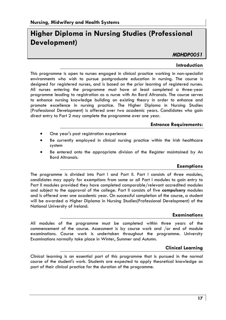# **Higher Diploma in Nursing Studies (Professional Development)**

# *MDHDP0051*

#### **Introduction**

This programme is open to nurses engaged in clinical practice working in non-specialist environments who wish to pursue postgraduate education in nursing. The course is designed for registered nurses, and is based on the prior learning of registered nurses. All nurses entering the programme must have at least completed a three-year programme leading to registration as a nurse with An Bord Altranais. The course serves to enhance nursing knowledge building on existing theory in order to enhance and promote excellence in nursing practice. The Higher Diploma in Nursing Studies (Professional Development) is offered over two academic years. Candidates who gain direct entry to Part 2 may complete the programme over one year.

#### **Entrance Requirements:**

- One year's post registration experience
- Be currently employed in clinical nursing practice within the Irish healthcare system
- Be entered onto the appropriate division of the Register maintained by An Bord Altranais.

#### **Exemptions**

The programme is divided into Part I and Part II. Part I consists of three modules, candidates may apply for exemptions from some or all Part I modules to gain entry to Part II modules provided they have completed comparable/relevant accredited modules and subject to the approval of the college. Part II consists of five **compulsory** modules and is offered over one academic year. On successful completion of the course, a student will be awarded a Higher Diploma in Nursing Studies(Professional Development) of the National University of Ireland.

#### **Examinations**

All modules of the programme must be completed within three years of the commencement of the course. Assessment is by course work and /or end of module examinations. Course work is undertaken throughout the programme. University Examinations normally take place in Winter, Summer and Autumn.

#### **Clinical Learning**

Clinical learning is an essential part of this programme that is pursued in the normal course of the student's work. Students are expected to apply theoretical knowledge as part of their clinical practice for the duration of the programme.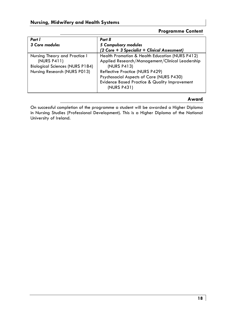# **Programme Content**

| Part I                                 | Part II                                         |
|----------------------------------------|-------------------------------------------------|
| 3 Core modules                         | 5 Compulsory modules                            |
|                                        | (2 Core + 3 Specialist + Clinical Assessment)   |
| Nursing Theory and Practice I          | Health Promotion & Health Education (NURS P412) |
| (NURS P411)                            | Applied Research/Management/Clinical Leadership |
| <b>Biological Sciences (NURS P184)</b> | (NURS P413)                                     |
| Nursing Research (NURS P013)           | Reflective Practice (NURS P429)                 |
|                                        | Psychosocial Aspects of Care (NURS P430)        |
|                                        | Evidence Based Practice & Quality Improvement   |
|                                        | (NURS P431)                                     |
|                                        |                                                 |

# **Award**

On successful completion of the programme a student will be awarded a Higher Diploma in Nursing Studies (Professional Development). This is a Higher Diploma of the National University of Ireland.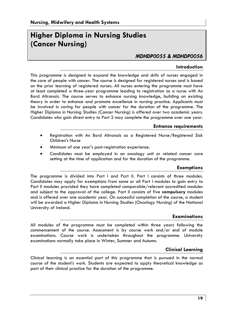# **Higher Diploma in Nursing Studies (Cancer Nursing)**

# *MDHDP0055 & MDHDP0056*

#### **Introduction**

This programme is designed to expand the knowledge and skills of nurses engaged in the care of people with cancer. The course is designed for registered nurses and is based on the prior learning of registered nurses. All nurses entering the programme must have at least completed a three-year programme leading to registration as a nurse with An Bord Altranais. The course serves to enhance nursing knowledge, building on existing theory in order to enhance and promote excellence in nursing practice. Applicants must be involved in caring for people with cancer for the duration of the programme. The Higher Diploma in Nursing Studies (Cancer Nursing) is offered over two academic years. Candidates who gain direct entry to Part 2 may complete the programme over one year.

#### **Entrance requirements**

- Registration with An Bord Altranais as a Registered Nurse/Registered Sick Children's Nurse
- Minimum of one year's post-registration experience.
- Candidates must be employed in an oncology unit or related cancer care setting at the time of application and for the duration of the programme.

#### **Exemptions**

The programme is divided into Part l and Part II. Part l consists of three modules. Candidates may apply for exemptions from some or all Part l modules to gain entry to Part II modules provided they have completed comparable/relevant accredited modules and subject to the approval of the college. Part II consists of five **compulsory** modules and is offered over one academic year. On successful completion of the course, a student will be awarded a Higher Diploma in Nursing Studies (Oncology Nursing) of the National University of Ireland.

#### **Examinations**

All modules of the programme must be completed within three years following the commencement of the course. Assessment is by course work and/or end of module examinations. Course work is undertaken throughout the programme. University examinations normally take place in Winter, Summer and Autumn.

#### **Clinical Learning**

Clinical learning is an essential part of this programme that is pursued in the normal course of the student's work. Students are expected to apply theoretical knowledge as part of their clinical practice for the duration of the programme.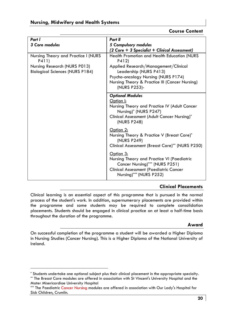# **Course Content**

| Part I                                                                 | Part II                                                                                                                                                               |
|------------------------------------------------------------------------|-----------------------------------------------------------------------------------------------------------------------------------------------------------------------|
| 3 Core modules                                                         | 5 Compulsory modules                                                                                                                                                  |
|                                                                        | (2 Core + 3 Specialist + Clinical Assessment)                                                                                                                         |
| Nursing Theory and Practice I (NURS<br>P411)                           | Health Promotion and Health Education (NURS)<br>P412)                                                                                                                 |
| Nursing Research (NURS P013)<br><b>Biological Sciences (NURS P184)</b> | Applied Research/Management/Clinical<br>Leadership (NURS P413)                                                                                                        |
|                                                                        | Psycho-oncology Nursing (NURS P174)                                                                                                                                   |
|                                                                        | Nursing Theory & Practice III (Cancer Nursing)<br>(NURS P253)-                                                                                                        |
|                                                                        | <b>Optional Modules</b>                                                                                                                                               |
|                                                                        | Option I:                                                                                                                                                             |
|                                                                        | Nursing Theory and Practice IV (Adult Cancer<br>Nursing) <sup>*</sup> (NURS P247)                                                                                     |
|                                                                        | Clinical Assessment (Adult Cancer Nursing)*<br>(NURS P248)                                                                                                            |
|                                                                        | Option 2:                                                                                                                                                             |
|                                                                        | Nursing Theory & Practice V (Breast Care)*<br>(NURS P249)                                                                                                             |
|                                                                        | Clinical Assessment (Breast Care)** (NURS P250)                                                                                                                       |
|                                                                        | Option 3:<br>Nursing Theory and Practice VI (Paediatric<br>Cancer Nursing)*** (NURS P251)<br><b>Clinical Assessment (Paediatric Cancer</b><br>Nursing)*** (NURS P252) |

# **Clinical Placements**

Clinical learning is an essential aspect of this programme that is pursued in the normal process of the student's work. In addition, supernumerary placements are provided within the programme and some students may be required to complete consolidation placements. Students should be engaged in clinical practice on at least a half-time basis throughout the duration of the programme.

# **Award**

On successful completion of the programme a student will be awarded a Higher Diploma in Nursing Studies (Cancer Nursing). This is a Higher Diploma of the National University of Ireland.

<sup>\*</sup> Students undertake one optional subject plus their clinical placement in the appropriate specialty. \*\* The Breast Care modules are offered in association with St Vincent's University Hospital and the

Mater Misericordiae University Hospital

<sup>\*\*\*</sup> The Paediatric Cancer Nursing modules are offered in association with Our Lady's Hospital for Sick Children, Crumlin.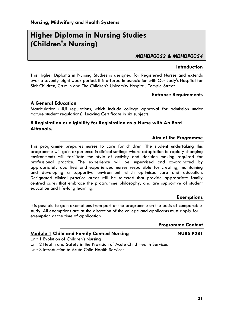# **Higher Diploma in Nursing Studies (Children's Nursing)**

# *MDHDP0053 & MDHDP0054*

#### **Introduction**

This Higher Diploma in Nursing Studies is designed for Registered Nurses and extends over a seventy-eight week period. It is offered in association with Our Lady's Hospital for Sick Children, Crumlin and The Children's University Hospital, Temple Street.

#### **Entrance Requirements**

#### **A General Education**

Matriculation (NUI regulations, which include college approval for admission under mature student regulations). Leaving Certificate in six subjects.

# **B Registration or eligibility for Registration as a Nurse with An Bord Altranais.**

#### **Aim of the Programme**

This programme prepares nurses to care for children. The student undertaking this programme will gain experience in clinical settings where adaptation to rapidly changing environments will facilitate the style of activity and decision making required for professional practice. The experience will be supervised and co-ordinated by appropriately qualified and experienced nurses responsible for creating, maintaining and developing a supportive environment which optimises care and education. Designated clinical practice areas will be selected that provide appropriate family centred care; that embrace the programme philosophy, and are supportive of student education and life-long learning.

#### **Exemptions**

It is possible to gain exemptions from part of the programme on the basis of comparable study. All exemptions are at the discretion of the college and applicants must apply for exemption at the time of application.

| <b>Programme Content</b> |  |  |  |
|--------------------------|--|--|--|
|--------------------------|--|--|--|

# **Module 1 Child and Family Centred Nursing NURS P281**

Unit 1 Evolution of Children's Nursing

Unit 2 Health and Safety in the Provision of Acute Child Health Services Unit 3 Introduction to Acute Child Health Services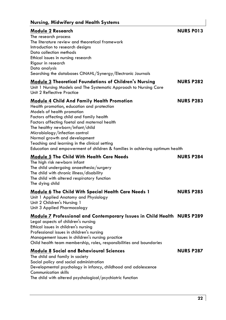# **Nursing, Midwifery and Health Systems**

| Nursing, Midwifery and Health Systems                                                                                                                                                                                                                                                                                                                                                                                                                              |                  |
|--------------------------------------------------------------------------------------------------------------------------------------------------------------------------------------------------------------------------------------------------------------------------------------------------------------------------------------------------------------------------------------------------------------------------------------------------------------------|------------------|
| Module 2 Research<br>The research process<br>The literature review and theoretical framework<br>Introduction to research designs<br>Data collection methods<br>Ethical issues in nursing research<br>Rigour in research<br>Data analysis<br>Searching the databases CINAHL/Synergy/Electronic Journals                                                                                                                                                             | <b>NURS PO13</b> |
| <b>Module 3 Theoretical Foundations of Children's Nursing</b><br>Unit 1 Nursing Models and The Systematic Approach to Nursing Care<br>Unit 2 Reflective Practice                                                                                                                                                                                                                                                                                                   | <b>NURS P282</b> |
| <b>Module 4 Child And Family Health Promotion</b><br>Health promotion, education and protection<br>Models of health promotion<br>Factors affecting child and family health<br>Factors affecting foetal and maternal health<br>The healthy newborn/infant/child<br>Microbiology/infection control<br>Normal growth and development<br>Teaching and learning in the clinical setting<br>Education and empowerment of children & families in achieving optimum health | <b>NURS P283</b> |
| <b>Module 5 The Child With Health Care Needs</b><br>The high risk newborn infant<br>The child undergoing anaesthesia/surgery<br>The child with chronic illness/disability<br>The child with altered respiratory function<br>The dying child                                                                                                                                                                                                                        | <b>NURS P284</b> |
| Module 6 The Child With Special Health Care Needs 1<br>Unit 1 Applied Anatomy and Physiology<br>Unit 2 Children's Nursing 1<br>Unit 3 Applied Pharmacology                                                                                                                                                                                                                                                                                                         | <b>NURS P285</b> |
| Module 7 Professional and Contemporary Issues in Child Health NURS P289<br>Legal aspects of children's nursing<br>Ethical issues in children's nursing<br>Professional issues in children's nursing<br>Management issues in children's nursing practice<br>Child health team membership, roles, responsibilities and boundaries                                                                                                                                    |                  |
| Module 8 Social and Behavioural Sciences<br>The child and family in society<br>Social policy and social administration<br>Developmental psychology in infancy, childhood and adolescence<br><b>Communication skills</b><br>The child with altered psychological/psychiatric function                                                                                                                                                                               | <b>NURS P287</b> |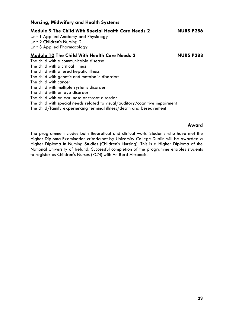| Nursing, migwirery and Health Systems                                                                                                                                                                                                                                                                                                                                                                                                                           |                  |
|-----------------------------------------------------------------------------------------------------------------------------------------------------------------------------------------------------------------------------------------------------------------------------------------------------------------------------------------------------------------------------------------------------------------------------------------------------------------|------------------|
| <b>Module 9 The Child With Special Health Care Needs 2</b><br>Unit 1 Applied Anatomy and Physiology<br>Unit 2 Children's Nursing 2<br>Unit 3 Applied Pharmacology                                                                                                                                                                                                                                                                                               | <b>NURS P286</b> |
| Module 10 The Child With Health Care Needs 3<br>The child with a communicable disease<br>The child with a critical illness<br>The child with altered hepatic illness<br>The child with genetic and metabolic disorders<br>The child with cancer<br>The child with multiple systems disorder<br>The child with an eye disorder<br>The child with an ear, nose or throat disorder<br>The child with special needs related to visual/auditory/cognitive impairment | <b>NURS P288</b> |
| The child/family experiencing terminal illness/death and bereavement                                                                                                                                                                                                                                                                                                                                                                                            |                  |
|                                                                                                                                                                                                                                                                                                                                                                                                                                                                 |                  |

The programme includes both theoretical and clinical work. Students who have met the Higher Diploma Examination criteria set by University College Dublin will be awarded a Higher Diploma in Nursing Studies (Children's Nursing). This is a Higher Diploma of the National University of Ireland. Successful completion of the programme enables students to register as Children's Nurses (RCN) with An Bord Altranais.

**Award** 

# **Nursing, Midwifery and Health Systems**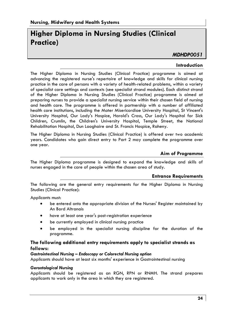# **Higher Diploma in Nursing Studies (Clinical Practice)**

# *MDHDP0051*

#### **Introduction**

The Higher Diploma in Nursing Studies (Clinical Practice) programme is aimed at advancing the registered nurse's repertoire of knowledge and skills for clinical nursing practice in the care of persons with a variety of health-related problems, within a variety of specialist care settings and contexts (see specialist strand modules). Each distinct strand of the Higher Diploma in Nursing Studies (Clinical Practice) programme is aimed at preparing nurses to provide a specialist nursing service within their chosen field of nursing and health care. The programme is offered in partnership with a number of affiliated health care institutions, including the Mater Misericordiae University Hospital, St Vincent's University Hospital, Our Lady's Hospice, Harold's Cross, Our Lady's Hospital for Sick Children, Crumlin, the Children's University Hospital, Temple Street, the National Rehabilitation Hospital, Dun Laoghaire and St. Francis Hospice, Raheny.

The Higher Diploma in Nursing Studies (Clinical Practice) is offered over two academic years. Candidates who gain direct entry to Part 2 may complete the programme over one year.

#### **Aim of Programme**

The Higher Diploma programme is designed to expand the knowledge and skills of nurses engaged in the care of people within the chosen area of study.

#### **Entrance Requirements**

The following are the general entry requirements for the Higher Diploma in Nursing Studies (Clinical Practice):

Applicants must:

- be entered onto the appropriate division of the Nurses' Register maintained by An Bord Altranais
- have at least one year's post-registration experience
- be currently employed in clinical nursing practice
- be employed in the specialist nursing discipline for the duration of the programme.

# **The following additional entry requirements apply to specialist strands as follows:**

#### *Gastrointestinal Nursing – Endoscopy or Colorectal Nursing option*

Applicants should have at least six months' experience in Gastrointestinal nursing

#### *Gerontological Nursing*

Applicants should be registered as an RGN, RPN or RNMH. The strand prepares applicants to work only in the area in which they are registered.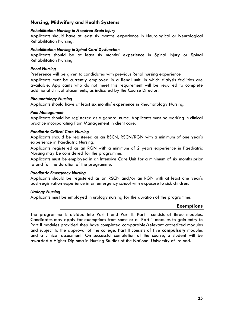#### **Nursing, Midwifery and Health Systems**

#### *Rehabilitation Nursing in Acquired Brain Injury*

Applicants should have at least six months' experience in Neurological or Neurological Rehabilitation Nursing.

#### *Rehabilitation Nursing in Spinal Cord Dysfunction*

Applicants should be at least six months' experience in Spinal Injury or Spinal Rehabilitation Nursing

#### *Renal Nursing*

Preference will be given to candidates with previous Renal nursing experience

Applicants must be currently employed in a Renal unit, in which dialysis facilities are available. Applicants who do not meet this requirement will be required to complete additional clinical placements, as indicated by the Course Director.

#### *Rheumatology Nursing*

Applicants should have at least six months' experience in Rheumatology Nursing.

#### *Pain Management*

Applicants should be registered as a general nurse. Applicants must be working in clinical practice incorporating Pain Management in client care.

#### *Paediatric Critical Care Nursing*

Applicants should be registered as an RSCN, RSCN/RGN with a minimum of one year's experience in Paediatric Nursing.

Applicants registered as an RGN with a minimum of 2 years experience in Paediatric Nursing may be considered for the programme.

Applicants must be employed in an Intensive Care Unit for a minimum of six months prior to and for the duration of the programme.

#### *Paediatric Emergency Nursing*

Applicants should be registered as an RSCN and/or an RGN with at least one year's post-registration experience in an emergency school with exposure to sick children.

#### *Urology Nursing*

Applicants must be employed in urology nursing for the duration of the programme.

#### **Exemptions**

The programme is divided into Part I and Part II. Part I consists of three modules. Candidates may apply for exemptions from some or all Part 1 modules to gain entry to Part II modules provided they have completed comparable/relevant accredited modules and subject to the approval of the college. Part II consists of five **compulsory** modules and a clinical assessment. On successful completion of the course, a student will be awarded a Higher Diploma in Nursing Studies of the National University of Ireland.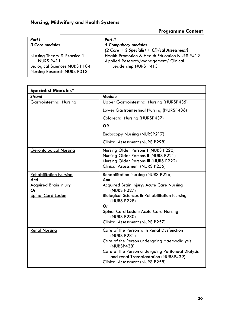# **Programme Content**

| Part I<br>3 Core modules                                                                                       | Part II<br>5 Compulsory modules<br>(2 Core + 3 Specialist + Clinical Assessment)                               |
|----------------------------------------------------------------------------------------------------------------|----------------------------------------------------------------------------------------------------------------|
| Nursing Theory & Practice 1<br>NURS P411<br><b>Biological Sciences NURS P184</b><br>Nursing Research NURS P013 | Health Promotion & Health Education NURS P412<br>Applied Research/Management/ Clinical<br>Leadership NURS P413 |

| <b>Specialist Modules*</b>                                                                              |                                                                                                                                                                                                                                                                                        |  |
|---------------------------------------------------------------------------------------------------------|----------------------------------------------------------------------------------------------------------------------------------------------------------------------------------------------------------------------------------------------------------------------------------------|--|
| <b>Strand</b>                                                                                           | <b>Module</b>                                                                                                                                                                                                                                                                          |  |
| <b>Gastrointestinal Nursing</b>                                                                         | Upper Gastrointestinal Nursing (NURSP435)                                                                                                                                                                                                                                              |  |
|                                                                                                         | Lower Gastrointestinal Nursing (NURSP436)                                                                                                                                                                                                                                              |  |
|                                                                                                         | Colorectal Nursing (NURSP437)                                                                                                                                                                                                                                                          |  |
|                                                                                                         | <b>OR</b>                                                                                                                                                                                                                                                                              |  |
|                                                                                                         | Endoscopy Nursing (NURSP217)                                                                                                                                                                                                                                                           |  |
|                                                                                                         | Clinical Assessment (NURS P298)                                                                                                                                                                                                                                                        |  |
| <b>Gerontological Nursing</b>                                                                           | Nursing Older Persons I (NURS P220)<br>Nursing Older Persons II (NURS P221)<br>Nursing Older Persons III (NURS P222)<br>Clinical Assessment (NURS P255)                                                                                                                                |  |
| <b>Rehabilitation Nursing</b><br>And<br><u>Acquired Brain Injury</u><br>Оr<br><b>Spinal Cord Lesion</b> | <b>Rehabilitation Nursing (NURS P226)</b><br>And<br>Acquired Brain Injury: Acute Care Nursing<br>(NURS P227)<br><b>Biological Sciences II: Rehabilitation Nursing</b><br>(NURS P228)<br>Or<br>Spinal Cord Lesion: Acute Care Nursing<br>(NURS P230)<br>Clinical Assessment (NURS P257) |  |
| <b>Renal Nursing</b>                                                                                    | Care of the Person with Renal Dysfunction<br>(NURS P231)<br>Care of the Person undergoing Haemodialysis<br>(NURSP438)<br>Care of the Person undergoing Peritoneal Dialysis<br>and renal Transplantation (NURSP439)<br>Clinical Assessment (NURS P258)                                  |  |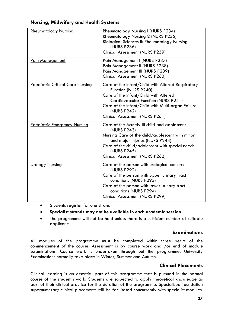| <b>Rheumatology Nursing</b>             | Rheumatology Nursing I (NURS P234)<br>Rheumatology Nursing 2 (NURS P235)<br>Biological Sciences II: Rheumatology Nursing<br>(NURS P236)<br>Clinical Assessment (NURS P259)                                                                                       |
|-----------------------------------------|------------------------------------------------------------------------------------------------------------------------------------------------------------------------------------------------------------------------------------------------------------------|
| <b>Pain Management</b>                  | Pain Management I (NURS P237)<br>Pain Management II (NURS P238)<br>Pain Management III (NURS P239)<br>Clinical Assessment (NURS P260)                                                                                                                            |
| <b>Paediatric Critical Care Nursing</b> | Care of the Infant/Child with Altered Respiratory<br>Function (NURS P240)<br>Care of the Infant/Child with Altered<br>Cardiovascular Function (NURS P241)<br>Care of the Infant/Child with Multi-organ Failure<br>(NURS P242)<br>Clinical Assessment (NURS P261) |
| <b>Paediatric Emergency Nursing</b>     | Care of the Acutely III child and adolescent<br>(NURS P243)<br>Nursing Care of the child/adolescent with minor<br>and major injuries (NURS P244)<br>Care of the child/adolescent with special needs<br>(NURS P245)<br>Clinical Assessment (NURS P262)            |
| <b>Urology Nursing</b>                  | Care of the person with urological cancers<br>(NURS P292)<br>Care of the person with upper urinary tract<br>conditions (NURS P293)<br>Care of the person with lower urinary tract<br>conditions (NURS P294)<br>Clinical Assessment (NURS P299)                   |

# **Nursing, Midwifery and Health Systems**

- Students register for one strand.
- **Specialist strands may not be available in each academic session.**
- The programme will not be held unless there is a sufficient number of suitable applicants.

# **Examinations**

All modules of the programme must be completed within three years of the commencement of the course. Assessment is by course work and /or end of module examinations. Course work is undertaken through out the programme. University Examinations normally take place in Winter, Summer and Autumn.

# **Clinical Placements**

Clinical learning is an essential part of this programme that is pursued in the normal course of the student's work. Students are expected to apply theoretical knowledge as part of their clinical practice for the duration of the programme. Specialised foundation supernumerary clinical placements will be facilitated concurrently with specialist modules.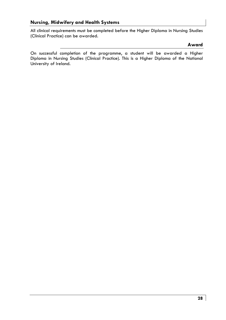# **Nursing, Midwifery and Health Systems**

All clinical requirements must be completed before the Higher Diploma in Nursing Studies (Clinical Practice) can be awarded.

#### **Award**

On successful completion of the programme, a student will be awarded a Higher Diploma in Nursing Studies (Clinical Practice). This is a Higher Diploma of the National University of Ireland.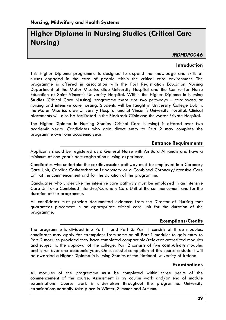# **Higher Diploma in Nursing Studies (Critical Care Nursing)**

# *MDHDP0046*

#### **Introduction**

This Higher Diploma programme is designed to expand the knowledge and skills of nurses engaged in the care of people within the critical care environment. The programme is offered in association with the Post Registration Education Nursing Department at the Mater Misericordiae University Hospital and the Centre for Nurse Education at Saint Vincent's University Hospital. Within the Higher Diploma in Nursing Studies (Critical Care Nursing) programme there are two pathways – cardiovascular nursing and intensive care nursing. Students will be taught in University College Dublin, the Mater Misericordiae University Hospital and St Vincent's University Hospital. Clinical placements will also be facilitated in the Blackrock Clinic and the Mater Private Hospital.

The Higher Diploma in Nursing Studies (Critical Care Nursing) is offered over two academic years. Candidates who gain direct entry to Part 2 may complete the programme over one academic year.

#### **Entrance Requirements**

Applicants should be registered as a General Nurse with An Bord Altranais and have a minimum of one year's post-registration nursing experience.

Candidates who undertake the cardiovascular pathway must be employed in a Coronary Care Unit, Cardiac Catheterisation Laboratory or a Combined Coronary/Intensive Care Unit at the commencement and for the duration of the programme.

Candidates who undertake the intensive care pathway must be employed in an Intensive Care Unit or a Combined Intensive/Coronary Care Unit at the commencement and for the duration of the programme.

All candidates must provide documented evidence from the Director of Nursing that guarantees placement in an appropriate critical care unit for the duration of the programme.

# **Exemptions/Credits**

The programme is divided into Part 1 and Part 2. Part 1 consists of three modules, candidates may apply for exemptions from some or all Part 1 modules to gain entry to Part 2 modules provided they have completed comparable/relevant accredited modules and subject to the approval of the college. Part 2 consists of five **compulsory** modules and is run over one academic year. On successful completion of this course a student will be awarded a Higher Diploma in Nursing Studies of the National University of Ireland.

#### **Examinations**

All modules of the programme must be completed within three years of the commencement of the course. Assessment is by course work and/or end of module examinations. Course work is undertaken throughout the programme. University examinations normally take place in Winter, Summer and Autumn.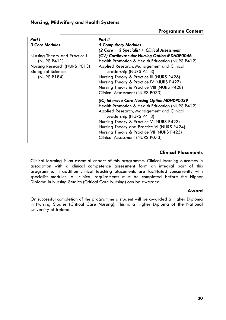# **Programme Content**

| Part I                                                                                                                    | Part II                                                                                                                                                                                                                                                                                                                                          |
|---------------------------------------------------------------------------------------------------------------------------|--------------------------------------------------------------------------------------------------------------------------------------------------------------------------------------------------------------------------------------------------------------------------------------------------------------------------------------------------|
| <b>3 Core Modules</b>                                                                                                     | <b>5 Compulsory Modules</b>                                                                                                                                                                                                                                                                                                                      |
|                                                                                                                           | (2 Core + 3 Specialist + Clinical Assessment                                                                                                                                                                                                                                                                                                     |
| Nursing Theory and Practice I<br>(NURS P411)<br>Nursing Research (NURS P013)<br><b>Biological Sciences</b><br>(NURS P184) | (CV) Cardiovascular Nursing Option MDHDP0046<br>Health Promotion & Health Education (NURS P412)<br>Applied Research, Management and Clinical<br>Leadership (NURS P413)<br>Nursing Theory & Practice III (NURS P426)<br>Nursing Theory & Practice IV (NURS P427)<br>Nursing Theory & Practice VIII (NURS P428)<br>Clinical Assessment (NURS P073) |
|                                                                                                                           | (IC) Intensive Care Nursing Option MDHDP0039<br>Health Promotion & Health Education (NURS P412)<br>Applied Research, Management and Clinical<br>Leadership (NURS P413)<br>Nursing Theory & Practice V (NURS P423)<br>Nursing Theory and Practice VI (NURS P424)<br>Nursing Theory & Practice VII (NURS P425)<br>Clinical Assessment (NURS P073)  |

# **Clinical Placements**

Clinical learning is an essential aspect of this programme. Clinical learning outcomes in association with a clinical competence assessment form an integral part of this programme. In addition clinical teaching placements are facilitated concurrently with specialist modules. All clinical requirements must be completed before the Higher Diploma in Nursing Studies (Critical Care Nursing) can be awarded.

# **Award**

On successful completion of the programme a student will be awarded a Higher Diploma in Nursing Studies (Critical Care Nursing). This is a Higher Diploma of the National University of Ireland.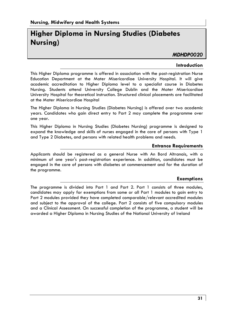# **Higher Diploma in Nursing Studies (Diabetes Nursing)**

# *MDHDP0020*

#### **Introduction**

This Higher Diploma programme is offered in association with the post-registration Nurse Education Department at the Mater Misericordiae University Hospital. It will give academic accreditation to Higher Diploma level to a specialist course in Diabetes Nursing. Students attend University College Dublin and the Mater Misericordiae University Hospital for theoretical instruction. Structured clinical placements are facilitated at the Mater Misericordiae Hospital

The Higher Diploma in Nursing Studies (Diabetes Nursing) is offered over two academic years. Candidates who gain direct entry to Part 2 may complete the programme over one year.

This Higher Diploma in Nursing Studies (Diabetes Nursing) programme is designed to expand the knowledge and skills of nurses engaged in the care of persons with Type 1 and Type 2 Diabetes, and persons with related health problems and needs.

#### **Entrance Requirements**

Applicants should be registered as a general Nurse with An Bord Altranais, with a minimum of one year's post-registration experience. In addition, candidates must be engaged in the care of persons with diabetes at commencement and for the duration of the programme.

#### **Exemptions**

The programme is divided into Part 1 and Part 2. Part 1 consists of three modules, candidates may apply for exemptions from some or all Part 1 modules to gain entry to Part 2 modules provided they have completed comparable/relevant accredited modules and subject to the approval of the college. Part 2 consists of five compulsory modules and a Clinical Assessment. On successful completion of the programme, a student will be awarded a Higher Diploma in Nursing Studies of the National University of Ireland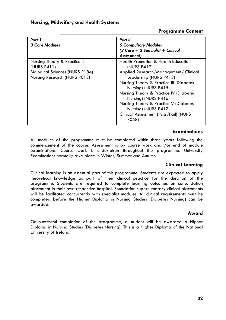# **Programme Content**

| Part 1<br><b>3 Core Modules</b>                                                                                      | Part II<br><b>5 Compulsory Modules</b><br>$(2 \text{ Core} + 3 \text{ Specialist} + \text{ Clinical})$<br>Assessment)                                                                                                                                                                                                                                                                    |
|----------------------------------------------------------------------------------------------------------------------|------------------------------------------------------------------------------------------------------------------------------------------------------------------------------------------------------------------------------------------------------------------------------------------------------------------------------------------------------------------------------------------|
| Nursing Theory & Practice 1<br>(NURS P411)<br><b>Biological Sciences (NURS P184)</b><br>Nursing Research (NURS P013) | <b>Health Promotion &amp; Health Education</b><br>(NURS P412)<br>Applied Research/Management/ Clinical<br>Leadership (NURS P413)<br>Nursing Theory & Practice III (Diabetes<br>Nursing) (NURS P415)<br>Nursing Theory & Practice IV (Diabetes<br>Nursing) (NURS P416)<br>Nursing Theory & Practice V (Diabetes<br>Nursing) (NURS P417)<br>Clinical Assessment (Pass/Fail) (NURS<br>P058) |

# **Examinations**

All modules of the programme must be completed within three years following the commencement of the course. Assessment is by course work and /or end of module examinations. Course work is undertaken throughout the programme. University Examinations normally take place in Winter, Summer and Autumn.

# **Clinical Learning**

Clinical learning is an essential part of this programme. Students are expected to apply theoretical knowledge as part of their clinical practice for the duration of the programme. Students are required to complete learning outcomes on consolidation placement in their own respective hospital. Foundation supernumerary clinical placements will be facilitated concurrently with specialist modules. All clinical requirements must be completed before the Higher Diploma in Nursing Studies (Diabetes Nursing) can be awarded.

# **Award**

On successful completion of the programme, a student will be awarded a Higher Diploma in Nursing Studies (Diabetes Nursing). This is a Higher Diploma of the National University of Ireland.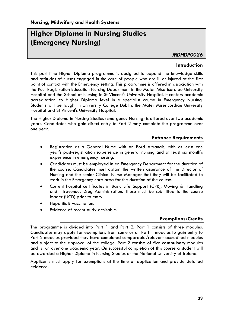# **Higher Diploma in Nursing Studies (Emergency Nursing)**

*MDHDP0026* 

#### **Introduction**

This part-time Higher Diploma programme is designed to expand the knowledge skills and attitudes of nurses engaged in the care of people who are ill or injured at the first point of contact with the Emergency setting. This programme is offered in association with the Post-Registration Education Nursing Department in the Mater Misericordiae University Hospital and the School of Nursing in St Vincent's University Hospital. It confers academic accreditation, to Higher Diploma level in a specialist course in Emergency Nursing. Students will be taught in University College Dublin, the Mater Misericordiae University Hospital and St Vincent's University Hospital.

The Higher Diploma in Nursing Studies (Emergency Nursing) is offered over two academic years. Candidates who gain direct entry to Part 2 may complete the programme over one year.

#### **Entrance Requirements**

- Registration as a General Nurse with An Bord Altranais, with at least one year's post-registration experience in general nursing and at least six month's experience in emergency nursing.
- Candidates must be employed in an Emergency Department for the duration of the course. Candidates must obtain the written assurance of the Director of Nursing and the senior Clinical Nurse Manager that they will be facilitated to work in the Emergency care area for the duration of the course.
- Current hospital certificates in Basic Life Support (CPR), Moving & Handling and Intravenous Drug Administration. These must be submitted to the course leader (UCD) prior to entry.
- Hepatitis B vaccination.
- Evidence of recent study desirable.

# **Exemptions/Credits**

The programme is divided into Part 1 and Part 2. Part 1 consists of three modules. Candidates may apply for exemptions from some or all Part 1 modules to gain entry to Part 2 modules provided they have completed comparable/relevant accredited modules and subject to the approval of the college. Part 2 consists of five **compulsory** modules and is run over one academic year. On successful completion of this course a student will be awarded a Higher Diploma in Nursing Studies of the National University of Ireland.

Applicants must apply for exemptions at the time of application and provide detailed evidence.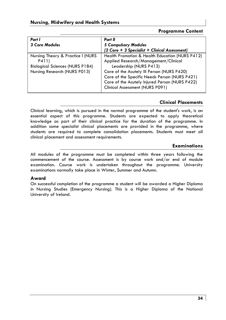# **Programme Content**

| Part I                                 | Part II                                         |
|----------------------------------------|-------------------------------------------------|
| <b>3 Core Modules</b>                  | 5 Compulsory Modules                            |
|                                        | (2 Core + 3 Specialist + Clinical Assessment)   |
| Nursing Theory & Practice I (NURS)     | Health Promotion & Health Education (NURS P412) |
| P411)                                  | Applied Research/Management/Clinical            |
| <b>Biological Sciences (NURS P184)</b> | Leadership (NURS P413)                          |
| Nursing Research (NURS P013)           | Care of the Acutely III Person (NURS P420)      |
|                                        | Care of the Specific Needs Person (NURS P421)   |
|                                        | Care of the Acutely Injured Person (NURS P422)  |
|                                        | Clinical Assessment (NURS P091)                 |

# **Clinical Placements**

Clinical learning, which is pursued in the normal programme of the student's work, is an essential aspect of this programme. Students are expected to apply theoretical knowledge as part of their clinical practice for the duration of the programme. In addition some specialist clinical placements are provided in the programme, where students are required to complete consolidation placements. Students must meet all clinical placement and assessment requirements.

# **Examinations**

All modules of the programme must be completed within three years following the commencement of the course. Assessment is by course work and/or end of module examination. Course work is undertaken throughout the programme. University examinations normally take place in Winter, Summer and Autumn.

# **Award**

On successful completion of the programme a student will be awarded a Higher Diploma in Nursing Studies (Emergency Nursing). This is a Higher Diploma of the National University of Ireland.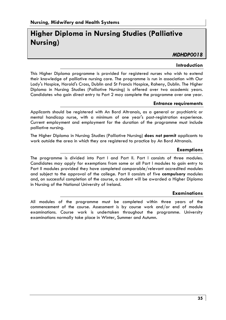# **Higher Diploma in Nursing Studies (Palliative Nursing)**

# *MDHDP0018*

#### **Introduction**

This Higher Diploma programme is provided for registered nurses who wish to extend their knowledge of palliative nursing care. The programme is run in association with Our Lady's Hospice, Harold's Cross, Dublin and St Francis Hospice, Raheny, Dublin. The Higher Diploma in Nursing Studies (Palliative Nursing) is offered over two academic years. Candidates who gain direct entry to Part 2 may complete the programme over one year.

#### **Entrance requirements**

Applicants should be registered with An Bord Altranais, as a general or psychiatric or mental handicap nurse, with a minimum of one year's post-registration experience. Current employment and employment for the duration of the programme must include palliative nursing.

The Higher Diploma in Nursing Studies (Palliative Nursing) **does not permit** applicants to work outside the area in which they are registered to practice by An Bord Altranais.

#### **Exemptions**

The programme is divided into Part I and Part II. Part I consists of three modules. Candidates may apply for exemptions from some or all Part I modules to gain entry to Part II modules provided they have completed comparable/relevant accredited modules and subject to the approval of the college. Part II consists of five **compulsory** modules and, on successful completion of the course, a student will be awarded a Higher Diploma in Nursing of the National University of Ireland.

#### **Examinations**

All modules of the programme must be completed within three years of the commencement of the course. Assessment is by course work and/or end of module examinations. Course work is undertaken throughout the programme. University examinations normally take place in Winter, Summer and Autumn.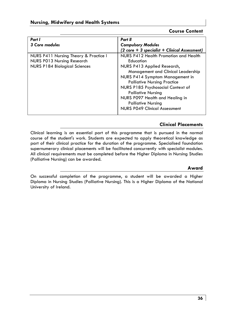# **Course Content**

| Part I                                                                                               | Part II                                                                                                                                                                                                                                                                                                                            |
|------------------------------------------------------------------------------------------------------|------------------------------------------------------------------------------------------------------------------------------------------------------------------------------------------------------------------------------------------------------------------------------------------------------------------------------------|
| 3 Core modules                                                                                       | <b>Compulsory Modules</b>                                                                                                                                                                                                                                                                                                          |
|                                                                                                      | (2 core + 3 specialist + Clinical Assessment)                                                                                                                                                                                                                                                                                      |
| NURS P411 Nursing Theory & Practice I<br>NURS P013 Nursing Research<br>NURS P184 Biological Sciences | NURS P412 Health Promotion and Health<br>Education<br>NURS P413 Applied Research,<br>Management and Clinical Leadership<br>NURS P414 Symptom Management in<br><b>Palliative Nursing Practice</b><br>NURS P185 Psychosocial Context of<br><b>Palliative Nursing</b><br>NURS P097 Health and Healing in<br><b>Palliative Nursing</b> |
|                                                                                                      | <b>NURS P049 Clinical Assessment</b>                                                                                                                                                                                                                                                                                               |

# **Clinical Placements**

Clinical learning is an essential part of this programme that is pursued in the normal course of the student's work. Students are expected to apply theoretical knowledge as part of their clinical practice for the duration of the programme. Specialised foundation supernumerary clinical placements will be facilitated concurrently with specialist modules. All clinical requirements must be completed before the Higher Diploma in Nursing Studies (Palliative Nursing) can be awarded.

# **Award**

On successful completion of the programme, a student will be awarded a Higher Diploma in Nursing Studies (Palliative Nursing). This is a Higher Diploma of the National University of Ireland.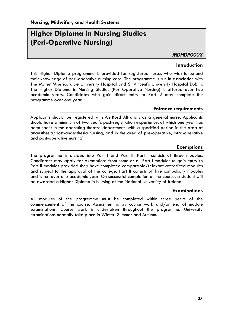# **Higher Diploma in Nursing Studies (Peri-Operative Nursing)**

*MDHDP0003* 

#### **Introduction**

This Higher Diploma programme is provided for registered nurses who wish to extend their knowledge of peri-operative nursing care. The programme is run in association with The Mater Misericordiae University Hospital and St Vincent's University Hospital Dublin. The Higher Diploma in Nursing Studies (Peri-Operative Nursing) is offered over two academic years. Candidates who gain direct entry to Part 2 may complete the programme over one year.

#### **Entrance requirements**

Applicants should be registered with An Bord Altranais as a general nurse. Applicants should have a minimum of two year's post-registration experience, of which one year has been spent in the operating theatre department (with a specified period in the area of anaesthesia/post-anaesthesia nursing, and in the area of pre-operative, intra-operative and post-operative nursing).

#### **Exemptions**

The programme is divided into Part I and Part II. Part I consists of three modules. Candidates may apply for exemptions from some or all Part I modules to gain entry to Part II modules provided they have completed comparable/relevant accredited modules and subject to the approval of the college. Part II consists of five compulsory modules and is run over one academic year. On successful completion of the course, a student will be awarded a Higher Diploma in Nursing of the National University of Ireland.

# **Examinations**

All modules of the programme must be completed within three years of the commencement of the course. Assessment is by course work and/or end of module examinations. Course work is undertaken throughout the programme. University examinations normally take place in Winter, Summer and Autumn.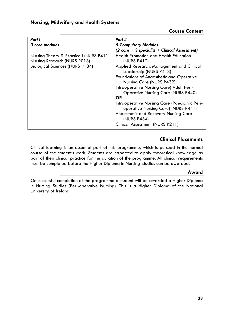# **Course Content**

| Part I                                  | Part II                                                                              |
|-----------------------------------------|--------------------------------------------------------------------------------------|
| 3 core modules                          | <b>5 Compulsory Modules</b>                                                          |
|                                         | $(2 \text{ core} + 3 \text{ specialist} + \text{ Clinical Assessment})$              |
| Nursing Theory & Practice I (NURS P411) | Health Promotion and Health Education                                                |
| Nursing Research (NURS P013)            | (NURS P412)                                                                          |
| <b>Biological Sciences (NURS P184)</b>  | Applied Research, Management and Clinical<br>Leadership (NURS P413)                  |
|                                         | Foundations of Anaesthetic and Operative                                             |
|                                         | Nursing Care (NURS P432)                                                             |
|                                         | Intraoperative Nursing Care) Adult Peri-                                             |
|                                         | <b>Operative Nursing Care (NURS P440)</b>                                            |
|                                         | OR                                                                                   |
|                                         | Intraoperative Nursing Care (Paediatric Peri-<br>operative Nursing Care) (NURS P441) |
|                                         | Anaesthetic and Recovery Nursing Care<br>(NURS P434)                                 |
|                                         | Clinical Assessment (NURS P211)                                                      |

# **Clinical Placements**

Clinical learning is an essential part of this programme, which is pursued in the normal course of the student's work. Students are expected to apply theoretical knowledge as part of their clinical practice for the duration of the programme. All clinical requirements must be completed before the Higher Diploma in Nursing Studies can be awarded.

#### **Award**

On successful completion of the programme a student will be awarded a Higher Diploma in Nursing Studies (Peri-operative Nursing). This is a Higher Diploma of the National University of Ireland.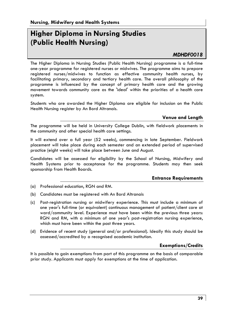# **Higher Diploma in Nursing Studies (Public Health Nursing)**

# *MDHDF0018*

The Higher Diploma in Nursing Studies (Public Health Nursing) programme is a full-time one-year programme for registered nurses or midwives. The programme aims to prepare registered nurses/midwives to function as effective community health nurses, by facilitating primary, secondary and tertiary health care. The overall philosophy of the programme is influenced by the concept of primary health care and the growing movement towards community care as the 'ideal' within the priorities of a health care system.

Students who are awarded the Higher Diploma are eligible for inclusion on the Public Health Nursing register by An Bord Altranais.

# **Venue and Length**

The programme will be held in University College Dublin, with fieldwork placements in the community and other special health care settings.

It will extend over a full year (52 weeks), commencing in late September. Fieldwork placement will take place during each semester and an extended period of supervised practice (eight weeks) will take place between June and August.

Candidates will be assessed for eligibility by the School of Nursing, Midwifery and Health Systems prior to acceptance for the programme. Students may then seek sponsorship from Health Boards.

# **Entrance Requirements**

- (a) Professional education, RGN and RM.
- (b) Candidates must be registered with An Bord Altranais
- (c) Post-registration nursing or midwifery experience. This must include a minimum of one year's full-time (or equivalent) continuous management of patient/client care at ward/community level. Experience must have been within the previous three years: RGN and RM, with a minimum of one year's post-registration nursing experience, which must have been within the past three years.
- (d) Evidence of recent study (general and/or professional). Ideally this study should be assessed/accredited by a recognised academic institution.

#### **Exemptions/Credits**

It is possible to gain exemptions from part of this programme on the basis of comparable prior study. Applicants must apply for exemptions at the time of application.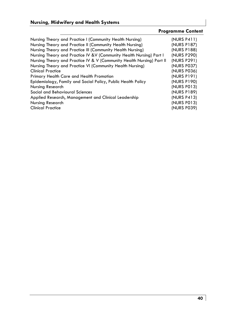# **Nursing, Midwifery and Health Systems**

# **Programme Content**

| Nursing Theory and Practice I (Community Health Nursing)<br>Nursing Theory and Practice II (Community Health Nursing)<br>Nursing Theory and Practice III (Community Health Nursing)<br>Nursing Theory and Practice IV & V (Community Health Nursing) Part I<br>Nursing Theory and Practice IV & V (Community Health Nursing) Part II<br>Nursing Theory and Practice VI (Community Health Nursing)<br><b>Clinical Practice</b><br>Primary Health Care and Health Promotion | (NURS P411)<br>(NURS P187)<br>(NURS P188)<br>(NURS P290)<br>(NURS P291)<br>(NURS P037)<br>(NURS P036)<br>(NURS P191) |
|---------------------------------------------------------------------------------------------------------------------------------------------------------------------------------------------------------------------------------------------------------------------------------------------------------------------------------------------------------------------------------------------------------------------------------------------------------------------------|----------------------------------------------------------------------------------------------------------------------|
| Epidemiology, Family and Social Policy, Public Health Policy<br>Nursing Research<br>Social and Behavioural Sciences                                                                                                                                                                                                                                                                                                                                                       | (NURS P190)<br>(NURS P013)                                                                                           |
| Applied Research, Management and Clinical Leadership<br>Nursing Research<br><b>Clinical Practice</b>                                                                                                                                                                                                                                                                                                                                                                      | (NURS P189)<br>(NURS P413)<br>(NURS P013)<br>(NURS P039)                                                             |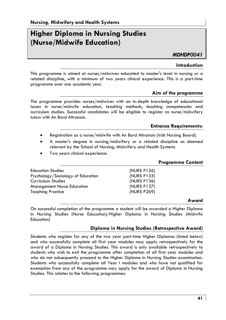# **Higher Diploma in Nursing Studies (Nurse/Midwife Education)**

*MDHDP0041* 

#### **Introduction**

This programme is aimed at nurses/midwives educated to master's level in nursing or a related discipline, with a minimum of two years clinical experience. This is a part-time programme over one academic year.

#### **Aim of the programme**

The programme provides nurses/midwives with an in-depth knowledge of educational issues in nurse/midwife education, teaching methods, teaching competencies and curriculum studies. Successful candidates will be eligible to register as nurse/midwifery tutors with An Bord Altranais.

#### **Entrance Requirements:**

- Registration as a nurse/midwife with An Bord Altranais (Irish Nursing Board).
- A master's degree in nursing/midwifery or a related discipline as deemed relevant by the School of Nursing, Midwifery and Health Systems
- Two years clinical experience.

|                                                  | <b>Programme Content</b> |
|--------------------------------------------------|--------------------------|
| (NURS P126)<br><b>Education Studies</b>          |                          |
| Psychology/Sociology of Education<br>(NURS P135) |                          |
| (NURS P136)<br>Curriculum Studies                |                          |
| (NURS P137)<br><b>Management Nurse Education</b> |                          |
| (NURS P269)<br><b>Teaching Practice</b>          |                          |

#### **Award**

On successful completion of the programme a student will be awarded a Higher Diploma in Nursing Studies (Nurse Education)/Higher Diploma in Nursing Studies (Midwife Education)

# **Diploma in Nursing Studies (Retrospective Award)**

Students who register for any of the two year part-time Higher Diplomas (listed below) and who successfully complete all first year modules may apply retrospectively for the award of a Diploma in Nursing Studies. This award is only available retrospectively to students who wish to exit the programme after completion of all first year modules and who do not subsequently proceed to the Higher Diploma in Nursing Studies examination. Students who successfully complete all Year l modules and who have not qualified for exemption from any of the programme may apply for the award of Diploma in Nursing Studies. This relates to the following programmes: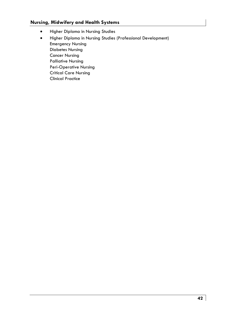# **Nursing, Midwifery and Health Systems**

- Higher Diploma in Nursing Studies
- Higher Diploma in Nursing Studies (Professional Development) Emergency Nursing Diabetes Nursing Cancer Nursing Palliative Nursing Peri-Operative Nursing Critical Care Nursing Clinical Practice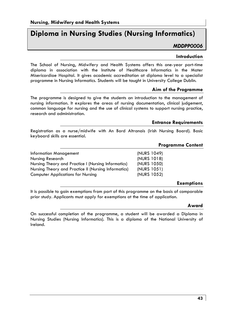# **Diploma in Nursing Studies (Nursing Informatics)**

*MDDPP0006* 

#### **Introduction**

The School of Nursing, Midwifery and Health Systems offers this one-year part-time diploma in association with the Institute of Healthcare Informatics in the Mater Misericordiae Hospital. It gives academic accreditation at diploma level to a specialist programme in Nursing Informatics. Students will be taught in University College Dublin.

# **Aim of the Programme**

The programme is designed to give the students an introduction to the management of nursing information. It explores the areas of nursing documentation, clinical judgement, common language for nursing and the use of clinical systems to support nursing practice, research and administration.

#### **Entrance Requirements**

Registration as a nurse/midwife with An Bord Altranais (Irish Nursing Board). Basic keyboard skills are essential.

# **Programme Content**

| <b>Information Management</b>                        | (NURS 1049) |
|------------------------------------------------------|-------------|
| Nursing Research                                     | (NURS 1018) |
| Nursing Theory and Practice I (Nursing Informatics)  | (NURS 1050) |
| Nursing Theory and Practice II (Nursing Informatics) | (NURS 1051) |
| <b>Computer Applications for Nursing</b>             | (NURS 1052) |

# **Exemptions**

It is possible to gain exemptions from part of this programme on the basis of comparable prior study. Applicants must apply for exemptions at the time of application.

#### **Award**

On successful completion of the programme, a student will be awarded a Diploma in Nursing Studies (Nursing Informatics). This is a diploma of the National University of Ireland.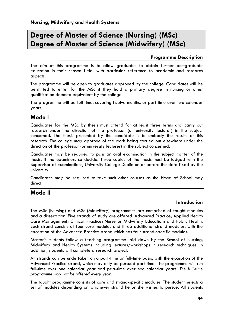# **Degree of Master of Science (Nursing) (MSc) Degree of Master of Science (Midwifery) (MSc)**

# **Programme Description**

The aim of this programme is to allow graduates to obtain further postgraduate education in their chosen field, with particular reference to academic and research aspects.

The programme will be open to graduates approved by the college. Candidates will be permitted to enter for the MSc if they hold a primary degree in nursing or other qualification deemed equivalent by the college.

The programme will be full-time, covering twelve months, or part-time over two calendar years.

# **Mode l**

Candidates for the MSc by thesis must attend for at least three terms and carry out research under the direction of the professor (or university lecturer) in the subject concerned. The thesis presented by the candidate is to embody the results of this research. The college may approve of the work being carried out elsewhere under the direction of the professor (or university lecturer) in the subject concerned.

Candidates may be required to pass an oral examination in the subject matter of the thesis, if the examiners so decide. Three copies of the thesis must be lodged with the Supervisor of Examinations, University College Dublin on or before the date fixed by the university.

Candidates may be required to take such other courses as the Head of School may direct.

# **Mode II**

# **Introduction**

The MSc (Nursing) and MSc (Midwifery) programmes are comprised of taught modules and a dissertation. Five strands of study are offered: Advanced Practice; Applied Health Care Management; Clinical Practice; Nurse or Midwifery Education; and Public Health. Each strand consists of four core modules and three additional strand modules, with the exception of the Advanced Practice strand which has four strand-specific modules.

Master's students follow a teaching programme laid down by the School of Nursing, Midwifery and Health Systems including lectures/workshops in research techniques. In addition, students will complete a research project.

All strands can be undertaken on a part-time or full-time basis, with the exception of the Advanced Practice strand, which may only be pursued part-time. The programme will run full-time over one calendar year and part-time over two calendar years. *The full-time programme may not be offered every year.*

The taught programme consists of core and strand-specific modules. The student selects a set of modules depending on whichever strand he or she wishes to pursue. All students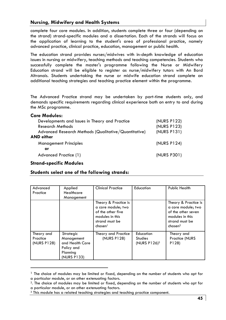complete four core modules. In addition, students complete three or four (depending on the strand) strand-specific modules and a dissertation. Each of the strands will focus on the application of learning to the student's area of professional practice, namely advanced practice, clinical practice, education, management or public health.

The education strand provides nurses/midwives with in-depth knowledge of education issues in nursing or midwifery, teaching methods and teaching competencies. Students who successfully complete the master's programme following the Nurse or Midwifery Education strand will be eligible to register as nurse/midwifery tutors with An Bord Altranais. Students undertaking the nurse or midwife education strand complete an additional teaching strategies and teaching practice element within the programme.

The Advanced Practice strand may be undertaken by part-time students only, and demands specific requirements regarding clinical experience both on entry to and during the MSc programme.

| <b>Core Modules:</b> |  |  |
|----------------------|--|--|
|----------------------|--|--|

| (NURS P122)<br>(NURS P123) |
|----------------------------|
| (NURS P131)                |
|                            |
| (NURS P124)                |
|                            |
| (NURS P301)                |
|                            |

#### **Strand-specific Modules**

#### **Students select one of the following strands:**

| Advanced<br>Practice                  | Applied<br>Healthcare<br>Management                                                 | <b>Clinical Practice</b>                                                                                                    | Education                                               | Public Health                                                                                                                |
|---------------------------------------|-------------------------------------------------------------------------------------|-----------------------------------------------------------------------------------------------------------------------------|---------------------------------------------------------|------------------------------------------------------------------------------------------------------------------------------|
|                                       |                                                                                     | Theory & Practice is<br>a core module; two<br>of the other five<br>modules in this<br>strand must be<br>chosen <sup>1</sup> |                                                         | Theory & Practice is<br>a core module; two<br>of the other seven<br>modules in this<br>strand must be<br>chosen <sup>2</sup> |
| Theory and<br>Practice<br>(NURS P128) | Strategic<br>Management<br>and Health Care<br>Policy and<br>Planning<br>(NURS P133) | Theory and Practice<br>(NURS P128)                                                                                          | Education<br><b>Studies</b><br>(NURS P126) <sup>3</sup> | Theory and<br>Practice (NURS<br>P128)                                                                                        |

 $<sup>1</sup>$  The choice of modules may be limited or fixed, depending on the number of students who opt for</sup>

a particular module, or on other extenuating factors.<br><sup>2</sup>. The choice of modules may be limited or fixed, depending on the number of students who opt for a particular module, or on other extenuating factors.

<sup>3</sup> This module has a related teaching strategies and teaching practice component.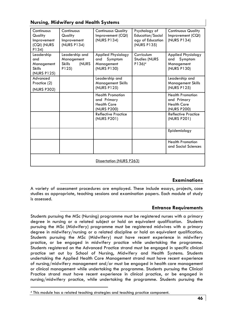| Continuous<br>Quality<br>Improvement<br>(CQI) (NURS<br>P134)    | Continuous<br>Quality<br>Improvement<br>(NURS P134)             | <b>Continuous Quality</b><br>Improvement (CQI)<br>(NURS P134)               | Psychology of<br>Education/Sociol<br>ogy of Education<br>(NURS P135) | <b>Continuous Quality</b><br>Improvement (CQI)<br>(NURS P134)               |
|-----------------------------------------------------------------|-----------------------------------------------------------------|-----------------------------------------------------------------------------|----------------------------------------------------------------------|-----------------------------------------------------------------------------|
| Leadership<br>and<br>Management<br><b>Skills</b><br>(NURS P125) | Leadership and<br>Management<br><b>Skills</b><br>(NURS<br>P125) | Applied Physiology<br>Symptom<br>and<br>Management<br>(NURS P130)           | Curriculum<br><b>Studies (NURS</b><br>P136) <sup>4</sup>             | <b>Applied Physiology</b><br>Symptom<br>and<br>Management<br>(NURS P130)    |
| Advanced<br>Practice (2)<br>(NURS P302)                         |                                                                 | Leadership and<br><b>Management Skills</b><br>(NURS P125)                   |                                                                      | Leadership and<br><b>Management Skills</b><br>(NURS P125)                   |
|                                                                 |                                                                 | <b>Health Promotion</b><br>and Primary<br><b>Health Care</b><br>(NURS P200) |                                                                      | <b>Health Promotion</b><br>and Primary<br><b>Health Care</b><br>(NURS P200) |
|                                                                 |                                                                 | Reflective Practice<br>(NURS P201)                                          |                                                                      | Reflective Practice<br>(NURS P201)                                          |
|                                                                 |                                                                 |                                                                             |                                                                      | Epidemiology                                                                |
|                                                                 |                                                                 |                                                                             |                                                                      | <b>Health Promotion</b><br>and Social Sciences                              |
| Dissertation (NURS P263)                                        |                                                                 |                                                                             |                                                                      |                                                                             |

# **Nursing, Midwifery and Health Systems**

# **Examinations**

A variety of assessment procedures are employed. These include essays, projects, case studies as appropriate, teaching sessions and examination papers. Each module of study is assessed.

# **Entrance Requirements**

Students pursuing the MSc (Nursing) programme must be registered nurses with a primary degree in nursing or a related subject or hold an equivalent qualification. Students pursuing the MSc (Midwifery) programme must be registered midwives with a primary degree in midwifery/nursing or a related discipline or hold an equivalent qualification. Students pursuing the MSc (Midwifery) must have recent experience in midwifery practice, or be engaged in midwifery practice while undertaking the programme. Students registered on the Advanced Practice strand must be engaged in specific clinical practice set out by School of Nursing, Midwifery and Health Systems. Students undertaking the Applied Health Care Management strand must have recent experience of nursing/midwifery management and/or must be engaged in health care management or clinical management while undertaking the programme. Students pursuing the Clinical Practice strand must have recent experience in clinical practice, or be engaged in nursing/midwifery practice, while undertaking the programme. Students pursuing the

<sup>4</sup> This module has a related teaching strategies and teaching practice component.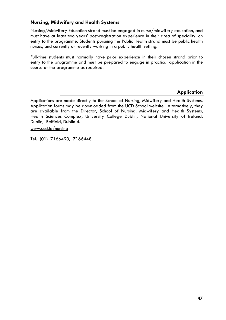Nursing/Midwifery Education strand must be engaged in nurse/midwifery education, and must have at least two years' post-registration experience in their area of speciality, on entry to the programme. Students pursuing the Public Health strand must be public health nurses, and currently or recently working in a public health setting.

Full-time students must normally have prior experience in their chosen strand prior to entry to the programme and must be prepared to engage in practical application in the course of the programme as required.

# **Application**

www.ucd.ie/nursing

Tel: (01) 7166490, 7166448

Applications are made directly to the School of Nursing, Midwifery and Health Systems. Application forms may be downloaded from the UCD School website. Alternatively, they are available from the Director, School of Nursing, Midwifery and Health Systems, Health Sciences Complex, University College Dublin, National University of Ireland, Dublin, Belfield, Dublin 4.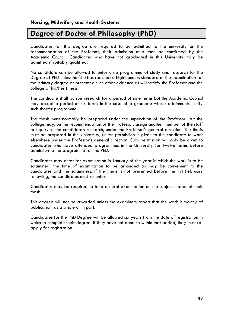# **Degree of Doctor of Philosophy (PhD)**

Candidates for this degree are required to be admitted to the university on the recommendation of the Professor, their admission must then be confirmed by the Academic Council. Candidates who have not graduated in this University may be admitted if suitably qualified.

No candidate can be allowed to enter on a programme of study and research for the Degree of PhD unless he/she has reached a high honours standard at the examination for the primary degree or presented such other evidence as will satisfy the Professor and the college of his/her fitness.

The candidate shall pursue research for a period of nine terms but the Academic Council may accept a period of six terms in the case of a graduate whose attainments justify such shorter programme.

The thesis must normally be prepared under the supervision of the Professor, but the college may, on the recommendation of the Professor, assign another member of the staff to supervise the candidate's research, under the Professor's general direction. The thesis must be prepared in the University, unless permission is given to the candidate to work elsewhere under the Professor's general direction. Such permission will only be given to candidates who have attended programmes in the University for twelve terms before admission to the programme for the PhD.

Candidates may enter for examination in January of the year in which the work is to be examined, the time of examination to be arranged as may be convenient to the candidates and the examiners. If the thesis is not presented before the 1st February following, the candidates must re-enter.

Candidates may be required to take an oral examination on the subject matter of their thesis.

This degree will not be awarded unless the examiners report that the work is worthy of publication, as a whole or in part.

Candidates for the PhD Degree will be allowed six years from the date of registration in which to complete their degree. If they have not done so within that period, they must reapply for registration.